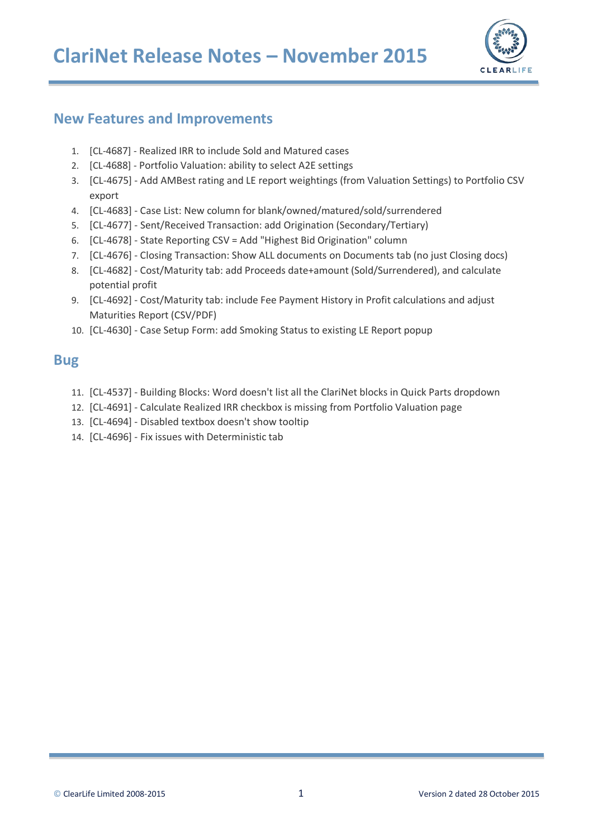

## **New Features and Improvements**

- 1. [CL-[4687](https://clearlife.atlassian.net/browse/CL-4687)] [Realized IRR to include Sold and Matured cases](https://clearlife.atlassian.net/browse/CL-4687)
- 2. [CL-[4688](https://clearlife.atlassian.net/browse/CL-4688)] [Portfolio Valuation: ability to select A2E settings](https://clearlife.atlassian.net/browse/CL-4688)
- 3. [CL-4675] Add AMBest rating and LE report weightings (from Valuation Settings) to Portfolio CSV export
- 4. [CL-4683] Case List: New column for blank/owned/matured/sold/surrendered
- 5. [CL-4677] Sent/Received Transaction: add Origination (Secondary/Tertiary)
- 6. [CL-4678] State Reporting CSV = Add "Highest Bid Origination" column
- 7. [CL-4676] Closing Transaction: Show ALL documents on Documents tab (no just Closing docs)
- 8. [CL-4682] Cost/Maturity tab: add Proceeds date+amount (Sold/Surrendered), and calculate potential profit
- 9. [CL-4692] Cost/Maturity tab: include Fee Payment History in Profit calculations and adjust Maturities Report (CSV/PDF)
- 10. [CL-4630] Case Setup Form: add Smoking Status to existing LE Report popup

### **Bug**

- 11. [CL-4537] Building Blocks: Word doesn't list all the ClariNet blocks in Quick Parts dropdown
- 12. [CL-4691] Calculate Realized IRR checkbox is missing from Portfolio Valuation page
- 13. [CL-4694] Disabled textbox doesn't show tooltip
- 14. [CL-4696] Fix issues with Deterministic tab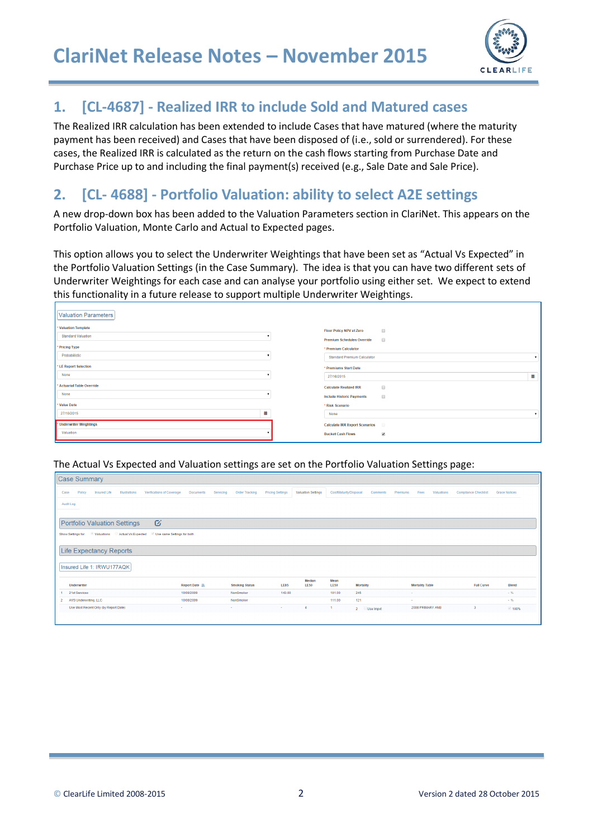

## **1. [CL[-4687\]](https://clearlife.atlassian.net/browse/CL-4687) - [Realized IRR to include Sold and Matured cases](https://clearlife.atlassian.net/browse/CL-4687)**

The Realized IRR calculation has been extended to include Cases that have matured (where the maturity payment has been received) and Cases that have been disposed of (i.e., sold or surrendered). For these cases, the Realized IRR is calculated as the return on the cash flows starting from Purchase Date and Purchase Price up to and including the final payment(s) received (e.g., Sale Date and Sale Price).

## **2. [CL- 4688] - Portfolio Valuation: ability to select A2E settings**

A new drop-down box has been added to the Valuation Parameters section in ClariNet. This appears on the Portfolio Valuation, Monte Carlo and Actual to Expected pages.

This option allows you to select the Underwriter Weightings that have been set as "Actual Vs Expected" in the Portfolio Valuation Settings (in the Case Summary). The idea is that you can have two different sets of Underwriter Weightings for each case and can analyse your portfolio using either set. We expect to extend this functionality in a future release to support multiple Underwriter Weightings.

| Floor Policy NPV at Zero          | $\qquad \qquad \Box$                                                        |
|-----------------------------------|-----------------------------------------------------------------------------|
| <b>Premium Schedules Override</b> | $\Box$                                                                      |
| * Premium Calculator              |                                                                             |
|                                   | $\mathbf{v}$                                                                |
| * Premiums Start Date             |                                                                             |
| 27/10/2015                        | ₿                                                                           |
| <b>Calculate Realized IRR</b>     | $\qquad \qquad \Box$                                                        |
| <b>Include Historic Payments</b>  | $\qquad \qquad \Box$                                                        |
| * Risk Scenario                   |                                                                             |
| None                              | $\mathbf{v}$                                                                |
|                                   | $\Box$                                                                      |
| <b>Bucket Cash Flows</b>          | $\overline{\mathbf{v}}$                                                     |
| 量                                 | <b>Standard Premium Calculator</b><br><b>Calculate IRR Export Scenarios</b> |

The Actual Vs Expected and Valuation settings are set on the Portfolio Valuation Settings page:

| Case Summary                                                                                     |                               |                       |                         |                           |                        |                          |          |                        |                             |                      |
|--------------------------------------------------------------------------------------------------|-------------------------------|-----------------------|-------------------------|---------------------------|------------------------|--------------------------|----------|------------------------|-----------------------------|----------------------|
| Policy<br>Insured Life<br>Verifications of Coverage<br>Illustrations<br>Case                     | <b>Documents</b><br>Servicing | Order Tracking        | <b>Pricing Settings</b> | <b>Valuation Settings</b> | Cost/Maturity/Disposal | Comments                 | Premiums | Fees<br>Valuations     | <b>Compliance Checklist</b> | <b>Grace Notices</b> |
| Audit Log                                                                                        |                               |                       |                         |                           |                        |                          |          |                        |                             |                      |
|                                                                                                  |                               |                       |                         |                           |                        |                          |          |                        |                             |                      |
| Ø<br><b>Portfolio Valuation Settings</b>                                                         |                               |                       |                         |                           |                        |                          |          |                        |                             |                      |
| Actual Vs Expected<br>Use same Settings for both<br>Show Settings for:<br><b>Valuations</b><br>w |                               |                       |                         |                           |                        |                          |          |                        |                             |                      |
|                                                                                                  |                               |                       |                         |                           |                        |                          |          |                        |                             |                      |
| <b>Life Expectancy Reports</b>                                                                   |                               |                       |                         |                           |                        |                          |          |                        |                             |                      |
| Insured Life 1: IRWU177AQK                                                                       |                               |                       |                         |                           |                        |                          |          |                        |                             |                      |
|                                                                                                  |                               |                       |                         | Median                    | Mean                   |                          |          |                        |                             |                      |
| Underwriter                                                                                      | Report Date IL                | <b>Smoking Status</b> | <b>LE85</b>             | <b>LE50</b>               | <b>LE50</b>            | <b>Mortality</b>         |          | <b>Mortality Table</b> | <b>Full Curve</b>           | <b>Blend</b>         |
| 21st Services                                                                                    | 10/08/2009                    | NonSmoker             | 143.00                  |                           | 101.00                 | 245                      | $\sim$   |                        |                             | $-96$                |
| AVS Underwriting, LLC                                                                            | 10/08/2009                    | NonSmoker             |                         |                           | 111.00                 | 121                      | $\sim$   |                        |                             | $-96$                |
| Use Most Recent Only (by Report Date)                                                            | <b>COL</b>                    | <b>Service</b>        | <b>Service</b>          | $\overline{4}$            | 1                      | $2^{\circ}$<br>Use Impvt |          | 2008 PRIMARY ANB       | $\overline{3}$              | 100%                 |
|                                                                                                  |                               |                       |                         |                           |                        |                          |          |                        |                             |                      |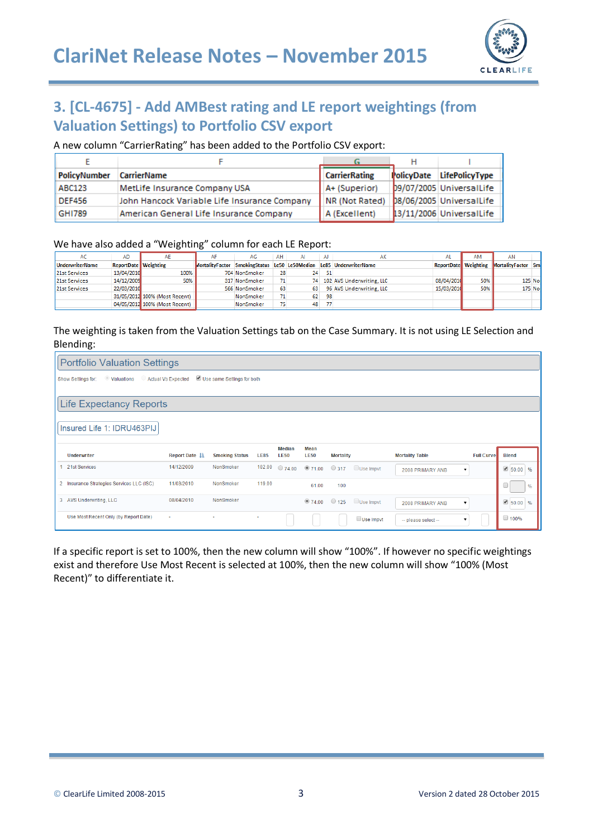

# **3. [CL-4675] - Add AMBest rating and LE report weightings (from Valuation Settings) to Portfolio CSV export**

### A new column "CarrierRating" has been added to the Portfolio CSV export:

| PolicyNumber  | <b>CarrierName</b>                           | <b>CarrierRating</b> | <b>PolicyDate</b> | <b>LifePolicyType</b>    |
|---------------|----------------------------------------------|----------------------|-------------------|--------------------------|
| ABC123        | MetLife Insurance Company USA                | A+ (Superior)        |                   | 09/07/2005 UniversalLife |
| <b>DEF456</b> | John Hancock Variable Life Insurance Company | NR (Not Rated)       |                   | 08/06/2005 UniversalLife |
| <b>GHI789</b> | American General Life Insurance Company      | A (Excellent)        |                   | 13/11/2006 UniversalLife |

#### We have also added a "Weighting" column for each LE Report:

| AC                     | AD                          | AE                            |                                               | AG            | AH | Al | AJ | АΚ                        | AL                          | AM  | AN                 |         |
|------------------------|-----------------------------|-------------------------------|-----------------------------------------------|---------------|----|----|----|---------------------------|-----------------------------|-----|--------------------|---------|
| <b>UnderwriterName</b> | <b>ReportDate Weighting</b> |                               | MortalityFactor SmokingStatus Le50 Le50Median |               |    |    |    | Le85 UnderwriterName      | <b>ReportDate</b> Weighting |     | MortalityFactor Sm |         |
| 21st Services          | 13/04/2010                  | 100%                          |                                               | 704 NonSmoker | 28 | 24 | 51 |                           |                             |     |                    |         |
| 21st Services          | 14/12/2009                  | 50%                           |                                               | 317 NonSmoker |    | 74 |    | 102 AVS Underwriting, LLC | 08/04/2010                  | 50% |                    | 125 Nor |
| 21st Services          | 22/03/2010                  |                               |                                               | 566 NonSmoker | 63 | 63 |    | 96 AVS Underwriting, LLC  | 15/03/2010                  | 50% |                    | 175 Nor |
|                        |                             | 31/05/2012 100% (Most Recent) |                                               | NonSmoker     |    | 62 | 98 |                           |                             |     |                    |         |
|                        |                             | 04/05/2012 100% (Most Recent) |                                               | NonSmoker     |    | 48 |    |                           |                             |     |                    |         |

### The weighting is taken from the Valuation Settings tab on the Case Summary. It is not using LE Selection and Blending:

|                                           | <b>Portfolio Valuation Settings</b> |                            |             |                              |                     |                  |                             |                        |                   |               |
|-------------------------------------------|-------------------------------------|----------------------------|-------------|------------------------------|---------------------|------------------|-----------------------------|------------------------|-------------------|---------------|
| <b>Valuations</b><br>Show Settings for:   | Actual Vs Expected                  | Use same Settings for both |             |                              |                     |                  |                             |                        |                   |               |
| Life Expectancy Reports                   |                                     |                            |             |                              |                     |                  |                             |                        |                   |               |
|                                           |                                     |                            |             |                              |                     |                  |                             |                        |                   |               |
| Insured Life 1: IDRU463PIJ                |                                     |                            |             |                              |                     |                  |                             |                        |                   |               |
| <b>Underwriter</b>                        | Report Date IL                      | <b>Smoking Status</b>      | <b>LE85</b> | <b>Median</b><br><b>LE50</b> | Mean<br><b>LE50</b> | <b>Mortality</b> |                             | <b>Mortality Table</b> | <b>Full Curve</b> | <b>Blend</b>  |
| 21st Services                             | 14/12/2009                          | NonSmoker                  | 102.00      |                              |                     |                  | 274.00 271.00 317 Use Impvt | 2008 PRIMARY ANB<br>▼  |                   | $150.00$ %    |
| 2 Insurance Strategies Services LLC (ISC) | 11/03/2010                          | NonSmoker                  | 119.00      |                              | 61.00               | 100              |                             |                        |                   | $\frac{9}{6}$ |
| 3 AVS Underwriting, LLC                   | 08/04/2010                          | NonSmoker                  |             |                              | •74.00              | $\bigcirc$ 125   | Use Impvt                   | 2008 PRIMARY ANB<br>۰. |                   | $96.00$ %     |
| Use Most Recent Only (by Report Date)     | $\sim$                              |                            | ٠           |                              |                     |                  | Use Impvt                   | -- please select-      |                   | $\Box$ 100%   |

If a specific report is set to 100%, then the new column will show "100%". If however no specific weightings exist and therefore Use Most Recent is selected at 100%, then the new column will show "100% (Most Recent)" to differentiate it.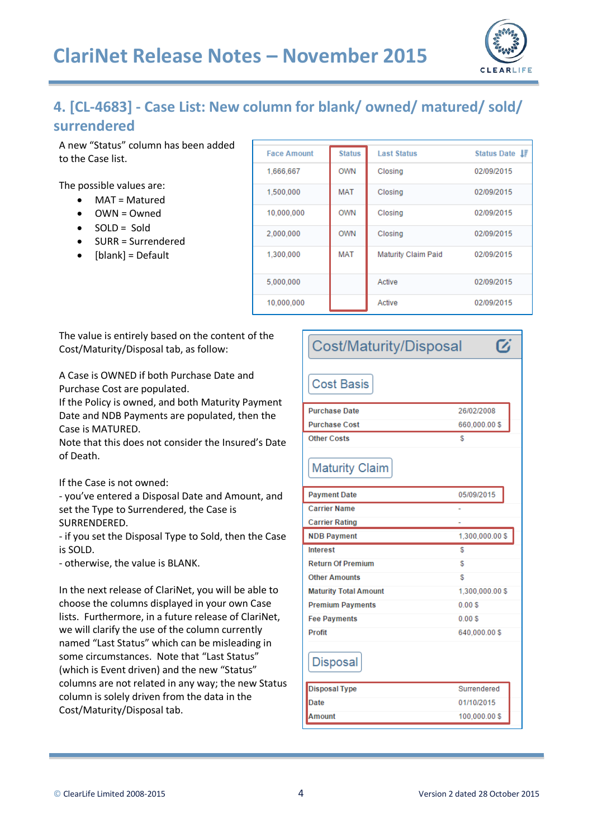

 $\boldsymbol{\sigma}$ 

# **4. [CL-4683] - Case List: New column for blank/ owned/ matured/ sold/ surrendered**

A new "Status" column has been added to the Case list.

The possible values are:

- MAT = Matured
- OWN = Owned
- $\bullet$  SOLD = Sold
- SURR = Surrendered
- $\bullet$  [blank] = Default

| <b>Face Amount</b> | <b>Status</b> | <b>Last Status</b>         | Status Date IF |
|--------------------|---------------|----------------------------|----------------|
| 1,666,667          | <b>OWN</b>    | Closing                    | 02/09/2015     |
| 1,500,000          | <b>MAT</b>    | Closing                    | 02/09/2015     |
| 10,000,000         | <b>OWN</b>    | Closing                    | 02/09/2015     |
| 2,000,000          | <b>OWN</b>    | Closing                    | 02/09/2015     |
| 1,300,000          | MAT           | <b>Maturity Claim Paid</b> | 02/09/2015     |
| 5,000,000          |               | Active                     | 02/09/2015     |
| 10.000.000         |               | Active                     | 02/09/2015     |

The value is entirely based on the content of the Cost/Maturity/Disposal tab, as follow:

A Case is OWNED if both Purchase Date and Purchase Cost are populated.

If the Policy is owned, and both Maturity Payment Date and NDB Payments are populated, then the Case is MATURED.

Note that this does not consider the Insured's Date of Death.

If the Case is not owned:

- you've entered a Disposal Date and Amount, and set the Type to Surrendered, the Case is SURRENDERED.

- if you set the Disposal Type to Sold, then the Case is SOLD.

- otherwise, the value is BLANK.

In the next release of ClariNet, you will be able to choose the columns displayed in your own Case lists. Furthermore, in a future release of ClariNet, we will clarify the use of the column currently named "Last Status" which can be misleading in some circumstances. Note that "Last Status" (which is Event driven) and the new "Status" columns are not related in any way; the new Status column is solely driven from the data in the Cost/Maturity/Disposal tab.

## Cost/Maturity/Disposal

## **Cost Basis**

| <b>Purchase Date</b>         | 26/02/2008      |
|------------------------------|-----------------|
| <b>Purchase Cost</b>         | 660,000.00\$    |
| <b>Other Costs</b>           | \$              |
| <b>Maturity Claim</b>        |                 |
| <b>Payment Date</b>          | 05/09/2015      |
| <b>Carrier Name</b>          | ٠               |
| <b>Carrier Rating</b>        | ۰               |
| <b>NDB Payment</b>           | 1.300.000.00 \$ |
| <b>Interest</b>              | S               |
| <b>Return Of Premium</b>     | \$              |
| <b>Other Amounts</b>         | \$              |
| <b>Maturity Total Amount</b> | 1,300,000.00 \$ |
| <b>Premium Payments</b>      | 0.00S           |
| <b>Fee Payments</b>          | 0.00S           |
| <b>Profit</b>                | 640,000.00 \$   |
| <b>Disposal</b>              |                 |
| <b>Disposal Type</b>         | Surrendered     |
| <b>Date</b>                  | 01/10/2015      |
| Amount                       | 100,000.00 \$   |
|                              |                 |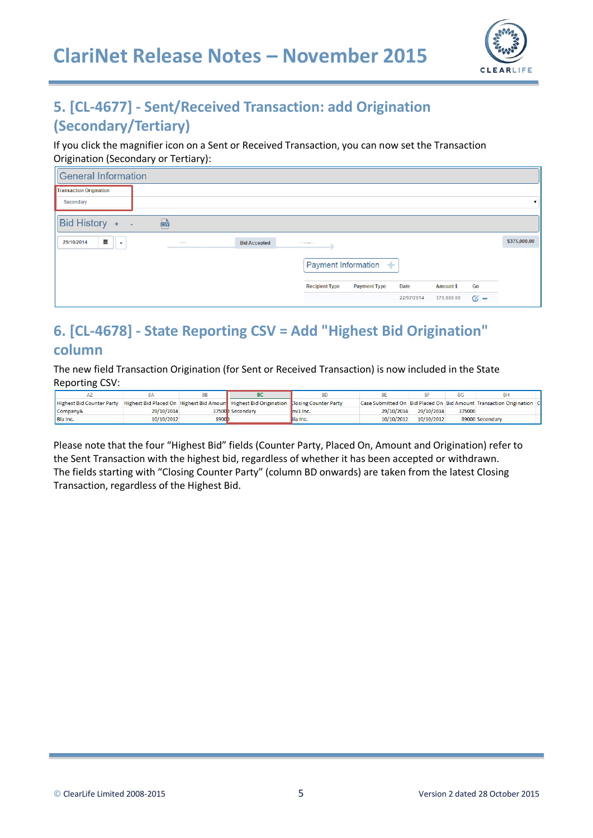

# **5. [CL-4677] - Sent/Received Transaction: add Origination (Secondary/Tertiary)**

If you click the magnifier icon on a Sent or Received Transaction, you can now set the Transaction Origination (Secondary or Tertiary):

| <b>General Information</b>                                        |                                              |            |                  |            |              |
|-------------------------------------------------------------------|----------------------------------------------|------------|------------------|------------|--------------|
| <b>Transaction Origination</b>                                    |                                              |            |                  |            |              |
| Secondary                                                         |                                              |            |                  |            |              |
| Bid History +<br>國<br>n a                                         |                                              |            |                  |            |              |
| 盖<br>29/10/2014<br><b>Bid Accepted</b><br>11111<br>$\blacksquare$ | The company of the company of                |            |                  |            | \$375,000.00 |
|                                                                   | Payment Information +                        |            |                  |            |              |
|                                                                   | <b>Recipient Type</b><br><b>Payment Type</b> | Date       | <b>Amount \$</b> | Go         |              |
|                                                                   |                                              | 22/07/2014 | 375,000.00       | $\alpha -$ |              |

# **6. [CL-4678] - State Reporting CSV = Add "Highest Bid Origination" column**

The new field Transaction Origination (for Sent or Received Transaction) is now included in the State Reporting CSV:

|                                  |            |        |                                                                                       | <b>BD</b> |            |            | ΒG     |                                                                        |
|----------------------------------|------------|--------|---------------------------------------------------------------------------------------|-----------|------------|------------|--------|------------------------------------------------------------------------|
| <b>Highest Bid Counter Party</b> |            |        | Highest Bid Placed On Highest Bid Amoun Highest Bid Origination Llosing Counter Party |           |            |            |        | Case Submitted On Bid Placed On Bid Amount Transaction Origination   C |
| <b>CompanyA</b>                  | 29/10/2014 |        | 37500 Secondary                                                                       | nv1 Inc.  | 29/10/2014 | 29/10/2014 | 375000 |                                                                        |
| <b>Bla Inc.</b>                  | 10/10/2012 | 8900 D |                                                                                       | Bla Inc.  | 10/10/2012 | 10/10/2012 |        | 89000 Secondary                                                        |

Please note that the four "Highest Bid" fields (Counter Party, Placed On, Amount and Origination) refer to the Sent Transaction with the highest bid, regardless of whether it has been accepted or withdrawn. The fields starting with "Closing Counter Party" (column BD onwards) are taken from the latest Closing Transaction, regardless of the Highest Bid.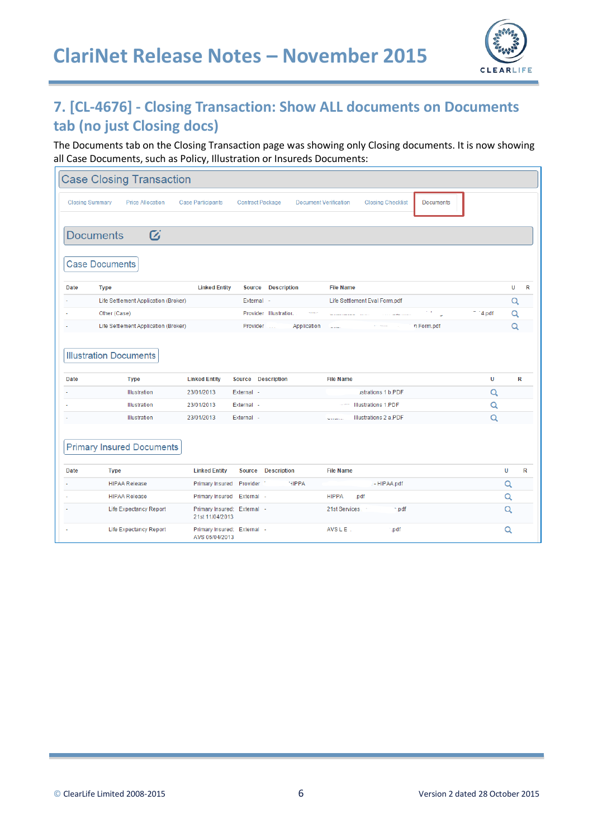

# **7. [CL-4676] - Closing Transaction: Show ALL documents on Documents tab (no just Closing docs)**

The Documents tab on the Closing Transaction page was showing only Closing documents. It is now showing all Case Documents, such as Policy, Illustration or Insureds Documents:

|                        | <b>Case Closing Transaction</b>              |                                                |                         |                              |                                                                            |          |        |  |
|------------------------|----------------------------------------------|------------------------------------------------|-------------------------|------------------------------|----------------------------------------------------------------------------|----------|--------|--|
| <b>Closing Summary</b> | <b>Price Allocation</b>                      | <b>Case Participants</b>                       | <b>Contract Package</b> | <b>Document Verification</b> | <b>Closing Checklist</b><br><b>Documents</b>                               |          |        |  |
|                        | $\boldsymbol{G}$<br><b>Documents</b>         |                                                |                         |                              |                                                                            |          |        |  |
|                        | <b>Case Documents</b>                        |                                                |                         |                              |                                                                            |          |        |  |
| <b>Date</b>            | <b>Type</b>                                  | <b>Linked Entity</b>                           | Source                  | <b>Description</b>           | <b>File Name</b>                                                           |          | U<br>R |  |
|                        | Life Settlement Application (Broker)         |                                                | External -              |                              | Life Settlement Eval Form.pdf                                              |          | Q      |  |
|                        | Other (Case)                                 |                                                |                         | Provider Illustration.       | within the company of the company<br><b>Contractor Communication</b><br>ä, | $-4.pdf$ | Q      |  |
|                        | Life Settlement Application (Broker)         |                                                | Provider                | Application                  | n Form.pdf<br>$\sim$                                                       |          | Q      |  |
| Date                   | <b>Illustration Documents</b><br><b>Type</b> | <b>Linked Entity</b>                           | Source Description      |                              | <b>File Name</b>                                                           | U        | R      |  |
|                        | Illustration                                 | 23/01/2013                                     | External -              |                              | ustrations 1 b.PDF                                                         | Q        |        |  |
|                        | Illustration                                 | 23/01/2013                                     | External -              |                              | <b>Illustrations 1.PDF</b><br>.                                            | Q        |        |  |
|                        | Illustration                                 | 23/01/2013                                     | External -              |                              | Illustrations 2 a.PDF<br><b>Services</b>                                   | Q        |        |  |
|                        | <b>Primary Insured Documents</b>             |                                                |                         |                              |                                                                            |          |        |  |
| Date                   | <b>Type</b>                                  | <b>Linked Entity</b>                           |                         | Source Description           | <b>File Name</b>                                                           |          | U<br>R |  |
|                        | <b>HIPAA Release</b>                         | <b>Primary Insured</b>                         | Provider                | <b>HIPPA</b>                 | - HIPAA.pdf                                                                |          | Q      |  |
|                        | <b>HIPAA Release</b>                         | Primary Insured External -                     |                         |                              | <b>HIPPA</b><br>.pdf                                                       |          | Q      |  |
|                        | Life Expectancy Report                       | Primary Insured: External -<br>21st 11/04/2013 |                         |                              | 21st Services<br>n.pdf                                                     |          | Q      |  |
|                        | <b>Life Expectancy Report</b>                | Primary Insured: External -<br>AVS 05/04/2013  |                         |                              | <b>AVS L E</b><br>.pdf                                                     |          | Q      |  |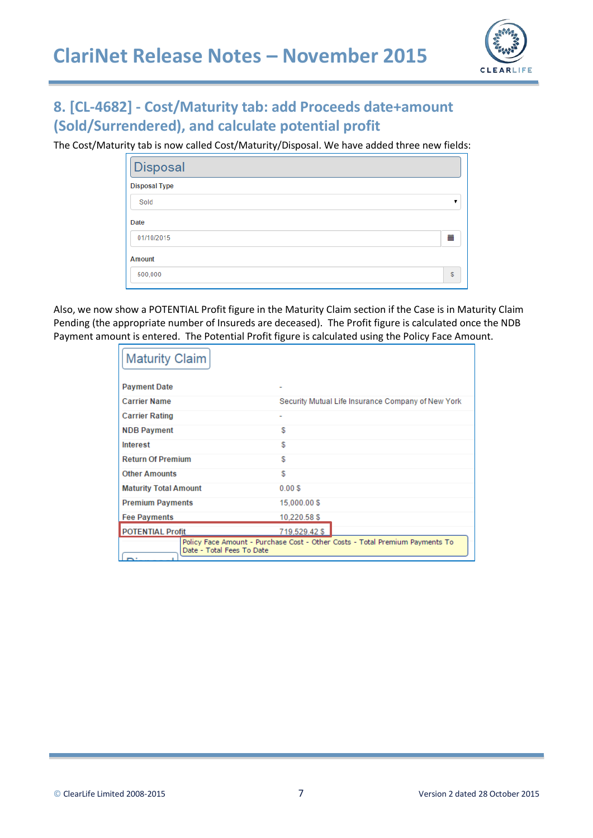

# **8. [CL-4682] - Cost/Maturity tab: add Proceeds date+amount (Sold/Surrendered), and calculate potential profit**

The Cost/Maturity tab is now called Cost/Maturity/Disposal. We have added three new fields:

| Disposal             |    |
|----------------------|----|
| <b>Disposal Type</b> |    |
| Sold                 |    |
| Date                 |    |
| 01/10/2015           | 藟  |
| Amount               |    |
| 500,000              | \$ |

Also, we now show a POTENTIAL Profit figure in the Maturity Claim section if the Case is in Maturity Claim Pending (the appropriate number of Insureds are deceased). The Profit figure is calculated once the NDB Payment amount is entered. The Potential Profit figure is calculated using the Policy Face Amount.

| <b>Maturity Claim</b>        |                                                                              |
|------------------------------|------------------------------------------------------------------------------|
| <b>Payment Date</b>          |                                                                              |
| <b>Carrier Name</b>          | Security Mutual Life Insurance Company of New York                           |
| <b>Carrier Rating</b>        |                                                                              |
| <b>NDB Payment</b>           | S                                                                            |
| Interest                     | S                                                                            |
| <b>Return Of Premium</b>     | S                                                                            |
| <b>Other Amounts</b>         | S                                                                            |
| <b>Maturity Total Amount</b> | 0.00S                                                                        |
| <b>Premium Payments</b>      | 15,000.00 \$                                                                 |
| <b>Fee Payments</b>          | 10.220.58 \$                                                                 |
| <b>POTENTIAL Profit</b>      | 719.529.42 \$                                                                |
| Date - Total Fees To Date    | Policy Face Amount - Purchase Cost - Other Costs - Total Premium Payments To |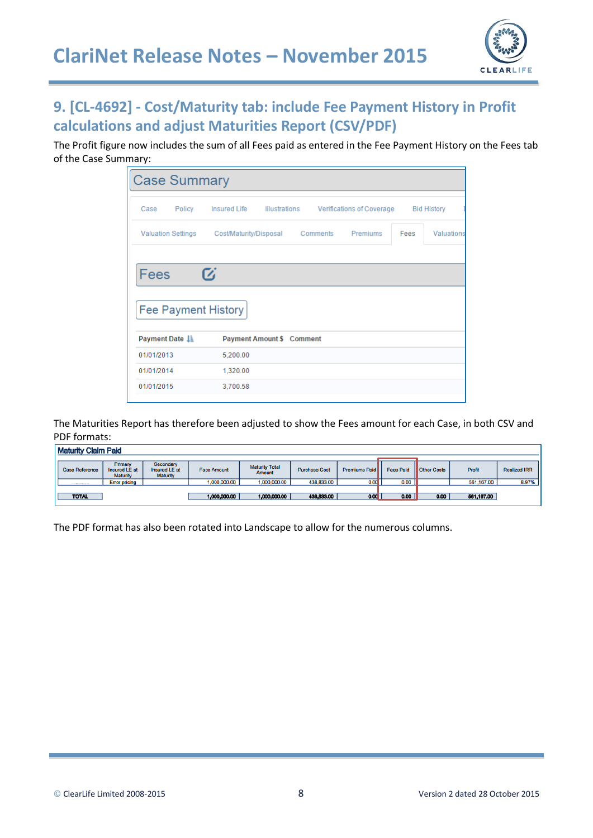

# **9. [CL-4692] - Cost/Maturity tab: include Fee Payment History in Profit calculations and adjust Maturities Report (CSV/PDF)**

The Profit figure now includes the sum of all Fees paid as entered in the Fee Payment History on the Fees tab of the Case Summary:

| <b>Case Summary</b>       |        |                                                |                      |          |                           |      |                    |
|---------------------------|--------|------------------------------------------------|----------------------|----------|---------------------------|------|--------------------|
| Case                      | Policy | <b>Insured Life</b>                            | <b>Illustrations</b> |          | Verifications of Coverage |      | <b>Bid History</b> |
| <b>Valuation Settings</b> |        | Cost/Maturity/Disposal                         |                      | Comments | Premiums                  | Fees | Valuations         |
| Fees                      |        | $\boldsymbol{G}$<br><b>Fee Payment History</b> |                      |          |                           |      |                    |
| <b>Payment Date 1</b>     |        | <b>Payment Amount \$ Comment</b>               |                      |          |                           |      |                    |
| 01/01/2013                |        | 5,200.00                                       |                      |          |                           |      |                    |
| 01/01/2014                |        | 1,320.00                                       |                      |          |                           |      |                    |
| 01/01/2015                |        | 3,700.58                                       |                      |          |                           |      |                    |

The Maturities Report has therefore been adjusted to show the Fees amount for each Case, in both CSV and PDF formats:

| <b>Maturity Claim Paid</b> |                                             |                                               |                    |                                 |                      |               |                  |                      |            |                     |
|----------------------------|---------------------------------------------|-----------------------------------------------|--------------------|---------------------------------|----------------------|---------------|------------------|----------------------|------------|---------------------|
| <b>Case Reference</b>      | Primary<br>Insured LE at<br><b>Maturity</b> | Secondary<br>Insured LE at<br><b>Maturity</b> | <b>Face Amount</b> | <b>Maturity Total</b><br>Amount | <b>Purchase Cost</b> | Premiums Paid | <b>Fees Paid</b> | <b>I</b> Other Costs | Profit     | <b>Realized IRR</b> |
| A 1990 FAMILY ROOM         | <b>Error pricing</b>                        |                                               | 1.000.000.00       | 1.000.000.00                    | 438,833.00           | 0.00          | 0.00             |                      | 561,167.00 | 8.97%               |
| <b>TOTAL</b>               |                                             |                                               | 1,000,000.00       | 1,000,000.00                    | 438,833.00           | 0.00          | 0.00             | 0.00                 | 561,167.00 |                     |

The PDF format has also been rotated into Landscape to allow for the numerous columns.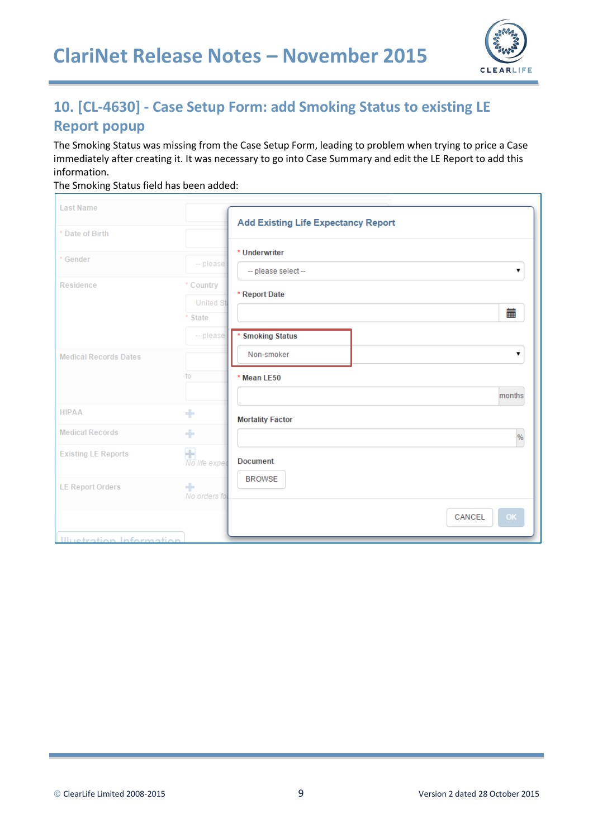

# **10. [CL-4630] - Case Setup Form: add Smoking Status to existing LE Report popup**

The Smoking Status was missing from the Case Setup Form, leading to problem when trying to price a Case immediately after creating it. It was necessary to go into Case Summary and edit the LE Report to add this information.

The Smoking Status field has been added:

| <b>Last Name</b>                |                    |                                            |
|---------------------------------|--------------------|--------------------------------------------|
|                                 |                    | <b>Add Existing Life Expectancy Report</b> |
| * Date of Birth                 |                    |                                            |
| * Gender                        |                    | * Underwriter                              |
|                                 | $-$ please         | -- please select-<br>▼                     |
| Residence                       | * Country          |                                            |
|                                 | <b>United St</b>   | * Report Date                              |
|                                 | * State            | 蘦                                          |
|                                 | $-$ please         | <b>Smoking Status</b><br>×                 |
| <b>Medical Records Dates</b>    |                    | Non-smoker<br>▼                            |
|                                 | to                 | * Mean LE50                                |
|                                 |                    | months                                     |
| <b>HIPAA</b>                    | ٠                  | <b>Mortality Factor</b>                    |
| <b>Medical Records</b>          | ٠                  | %                                          |
| <b>Existing LE Reports</b>      | Ŧ<br>No life exper | <b>Document</b>                            |
| <b>LE Report Orders</b>         | ٠<br>No orders fo  | <b>BROWSE</b>                              |
|                                 |                    | OK<br>CANCEL                               |
| <b>Illuetration Information</b> |                    |                                            |